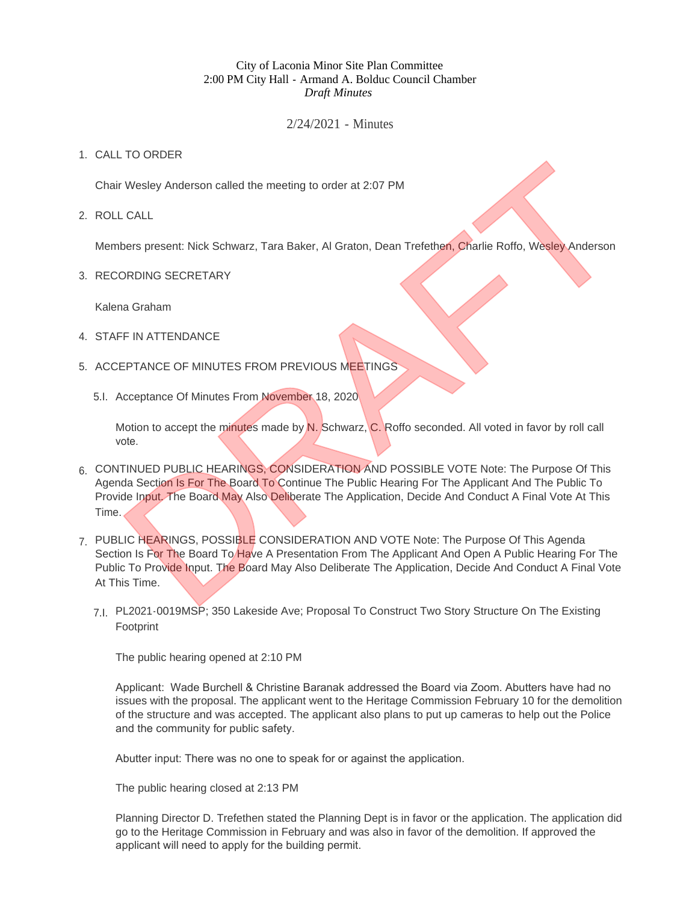## City of Laconia Minor Site Plan Committee 2:00 PM City Hall - Armand A. Bolduc Council Chamber *Draft Minutes*

## 2/24/2021 - Minutes

## 1. CALL TO ORDER

Chair Wesley Anderson called the meeting to order at 2:07 PM

ROLL CALL 2.

Members present: Nick Schwarz, Tara Baker, Al Graton, Dean Trefethen, Charlie Roffo, Wesley Anderson

3. RECORDING SECRETARY

Kalena Graham

- 4. STAFF IN ATTENDANCE
- 5. ACCEPTANCE OF MINUTES FROM PREVIOUS MEETINGS
	- 5.I. Acceptance Of Minutes From November 18, 2020

Motion to accept the minutes made by N. Schwarz, C. Roffo seconded. All voted in favor by roll call vote.

- 6. CONTINUED PUBLIC HEARINGS, CONSIDERATION AND POSSIBLE VOTE Note: The Purpose Of This Agenda Section Is For The Board To Continue The Public Hearing For The Applicant And The Public To Provide Input. The Board May Also Deliberate The Application, Decide And Conduct A Final Vote At This Time.
- 7. PUBLIC HEARINGS, POSSIBLE CONSIDERATION AND VOTE Note: The Purpose Of This Agenda Section Is For The Board To Have A Presentation From The Applicant And Open A Public Hearing For The Public To Provide Input. The Board May Also Deliberate The Application, Decide And Conduct A Final Vote At This Time. The Context Wesley Anderson called the meeting to order at 2:07 PM<br>
Desis present: Nick Schwarz, Tara Baker, Al Graton, Dean Trefethen, Charlie Roffo, Wesley Anderson<br>
DRDING SECRETARY<br>
IRENAICE OF MINUTES FROM PREVIOUS ME
	- PL2021-0019MSP; 350 Lakeside Ave; Proposal To Construct Two Story Structure On The Existing 7.I. Footprint

The public hearing opened at 2:10 PM

Applicant: Wade Burchell & Christine Baranak addressed the Board via Zoom. Abutters have had no issues with the proposal. The applicant went to the Heritage Commission February 10 for the demolition of the structure and was accepted. The applicant also plans to put up cameras to help out the Police and the community for public safety.

Abutter input: There was no one to speak for or against the application.

The public hearing closed at 2:13 PM

Planning Director D. Trefethen stated the Planning Dept is in favor or the application. The application did go to the Heritage Commission in February and was also in favor of the demolition. If approved the applicant will need to apply for the building permit.